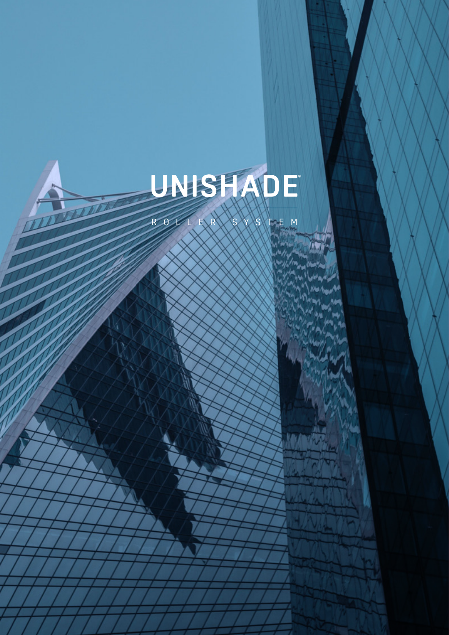

ROLLER SYSTEM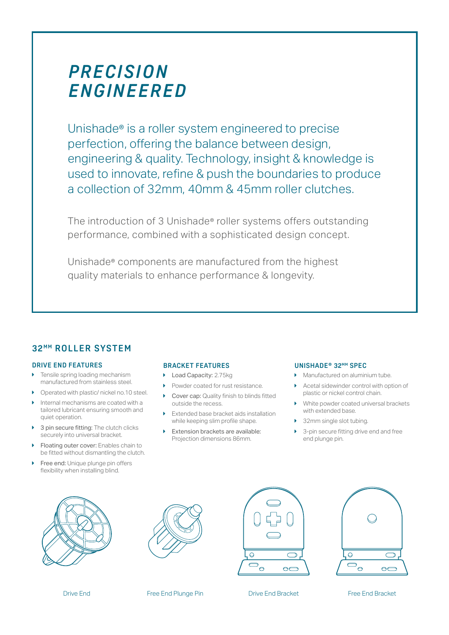# *P R E C I S I O N ENGINEERED*

Unishade® is a roller system engineered to precise perfection, offering the balance between design, engineering & quality. Technology, insight & knowledge is used to innovate, refine & push the boundaries to produce a collection of 32mm, 40mm & 45mm roller clutches.

The introduction of 3 Unishade® roller systems offers outstanding performance, combined with a sophisticated design concept.

Unishade® components are manufactured from the highest quality materials to enhance performance & longevity.

# **32 M M ROLLER SYSTEM**

#### **DRIVE END FEATURES**

- Tensile spring loading mechanism manufactured from stainless steel.
- $\triangleright$  Operated with plastic/ nickel no.10 steel.
- Internal mechanisms are coated with a tailored lubricant ensuring smooth and quiet operation.
- 3 pin secure fitting: The clutch clicks securely into universal bracket.
- Floating outer cover: Enables chain to be fitted without dismantling the clutch.
- Free end: Unique plunge pin offers flexibility when installing blind.

#### **BRACKET FEATURES**

- ▶ Load Capacity: 2.75kg
- **Powder coated for rust resistance.**
- Cover cap: Quality finish to blinds fitted outside the recess.
- Extended base bracket aids installation while keeping slim profile shape.
- Extension brackets are available: Projection dimensions 86mm.

#### **UNISHADE® 32MM SPEC**

- Manufactured on aluminium tube.
- Acetal sidewinder control with option of plastic or nickel control chain.
- White powder coated universal brackets with extended base.
- $\blacktriangleright$  32mm single slot tubing.
- 3-pin secure fitting drive end and free end plunge pin.











Drive End Free End Plunge Pin Free End Bracket Free End Bracket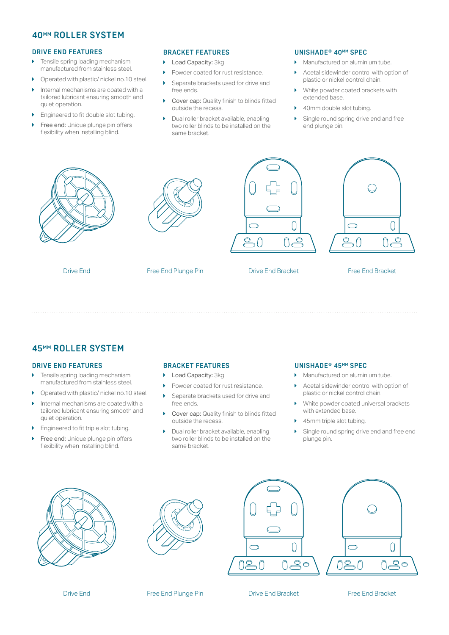### **40MM ROLLER SYSTEM**

#### **DRIVE END FEATURES**

- $\blacktriangleright$  Tensile spring loading mechanism manufactured from stainless steel.
- ▶ Operated with plastic/ nickel no.10 steel.
- $\blacktriangleright$  Internal mechanisms are coated with a tailored lubricant ensuring smooth and quiet operation.
- $\blacktriangleright$  Engineered to fit double slot tubing.
- Free end: Unique plunge pin offers flexibility when installing blind.

#### **BRACKET FEATURES**

- **Load Capacity: 3kg**
- **Powder coated for rust resistance.**
- $\blacktriangleright$  Separate brackets used for drive and free ends.
- ▶ Cover cap: Quality finish to blinds fitted outside the recess.
- **Dual roller bracket available, enabling** two roller blinds to be installed on the same bracket.

#### **UNISHADE® 40MM SPEC**

- **Manufactured on aluminium tube.**
- Acetal sidewinder control with option of plastic or nickel control chain.
- $\blacktriangleright$  White powder coated brackets with extended base.
- 40mm double slot tubing.
- Single round spring drive end and free end plunge pin.



# **45MM ROLLER SYSTEM**

#### **DRIVE END FEATURES**

- $\blacktriangleright$  Tensile spring loading mechanism manufactured from stainless steel.
- $\triangleright$  Operated with plastic/ nickel no.10 steel.
- $\blacktriangleright$  Internal mechanisms are coated with a tailored lubricant ensuring smooth and quiet operation.
- $\blacktriangleright$  Engineered to fit triple slot tubing.
- **Free end: Unique plunge pin offers** flexibility when installing blind.

#### **BRACKET FEATURES**

- ▶ Load Capacity: 3kg
- **Powder coated for rust resistance.**
- Separate brackets used for drive and free ends.
- **Cover cap: Quality finish to blinds fitted** outside the recess.
- $\blacktriangleright$  Dual roller bracket available, enabling two roller blinds to be installed on the same bracket.

#### **UNISHADE® 45MM SPEC**

- Manufactured on aluminium tube.
- Acetal sidewinder control with option of plastic or nickel control chain.
- White powder coated universal brackets with extended base.
- 45mm triple slot tubing.
- Single round spring drive end and free end plunge pin.











Drive End Bracket

Free End Bracket

Free End Plunge Pin